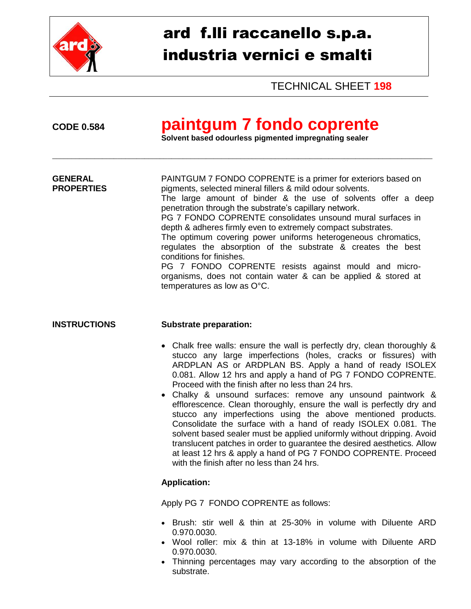

# ard f.lli raccanello s.p.a. industria vernici e smalti

TECHNICAL SHEET **198**

## **CODE 0.584 paintgum 7 fondo coprente**

**Solvent based odourless pigmented impregnating sealer** 

### **GENERAL** PAINTGUM 7 FONDO COPRENTE is a primer for exteriors based on<br> **PROPERTIES** pigments, selected mineral fillers & mild odour solvents. pigments, selected mineral fillers & mild odour solvents. The large amount of binder & the use of solvents offer a deep penetration through the substrate's capillary network. PG 7 FONDO COPRENTE consolidates unsound mural surfaces in depth & adheres firmly even to extremely compact substrates. The optimum covering power uniforms heterogeneous chromatics, regulates the absorption of the substrate & creates the best conditions for finishes. PG 7 FONDO COPRENTE resists against mould and microorganisms, does not contain water & can be applied & stored at temperatures as low as O°C.

\_\_\_\_\_\_\_\_\_\_\_\_\_\_\_\_\_\_\_\_\_\_\_\_\_\_\_\_\_\_\_\_\_\_\_\_\_\_\_\_\_\_\_\_\_\_\_\_\_\_\_\_\_\_\_\_\_\_\_\_\_\_\_\_\_\_\_\_\_\_\_\_\_\_\_\_\_\_\_\_\_\_\_\_\_\_\_\_\_\_\_\_\_\_\_\_\_\_\_

### **INSTRUCTIONS Substrate preparation:**

- Chalk free walls: ensure the wall is perfectly dry, clean thoroughly & stucco any large imperfections (holes, cracks or fissures) with ARDPLAN AS or ARDPLAN BS. Apply a hand of ready ISOLEX 0.081. Allow 12 hrs and apply a hand of PG 7 FONDO COPRENTE. Proceed with the finish after no less than 24 hrs.
- Chalky & unsound surfaces: remove any unsound paintwork & efflorescence. Clean thoroughly, ensure the wall is perfectly dry and stucco any imperfections using the above mentioned products. Consolidate the surface with a hand of ready ISOLEX 0.081. The solvent based sealer must be applied uniformly without dripping. Avoid translucent patches in order to guarantee the desired aesthetics. Allow at least 12 hrs & apply a hand of PG 7 FONDO COPRENTE. Proceed with the finish after no less than 24 hrs.

### **Application:**

Apply PG 7 FONDO COPRENTE as follows:

- Brush: stir well & thin at 25-30% in volume with Diluente ARD 0.970.0030.
- Wool roller: mix & thin at 13-18% in volume with Diluente ARD 0.970.0030.
- Thinning percentages may vary according to the absorption of the substrate.